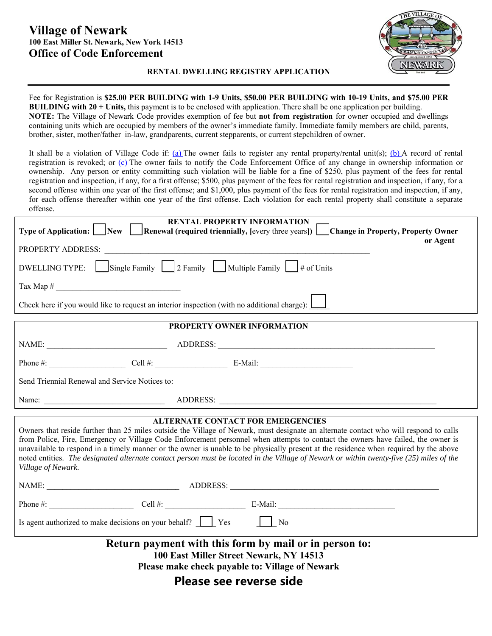## **Village of Newark 100 East Miller St. Newark, New York 14513 Office of Code Enforcement**



**RENTAL DWELLING REGISTRY APPLICATION** 

Fee for Registration is **\$25.00 PER BUILDING with 1-9 Units, \$50.00 PER BUILDING with 10-19 Units, and \$75.00 PER BUILDING with 20 + Units,** this payment is to be enclosed with application. There shall be one application per building. **NOTE:** The Village of Newark Code provides exemption of fee but **not from registration** for owner occupied and dwellings containing units which are occupied by members of the owner's immediate family. Immediate family members are child, parents, brother, sister, mother/father–in-law, grandparents, current stepparents, or current stepchildren of owner.

It shall be a violation of Village Code if: (a) The owner fails to register any rental property/rental unit(s); (b) A record of rental registration is revoked; or (c) The owner fails to notify the Code Enforcement Office of any change in ownership information or ownership. Any person or entity committing such violation will be liable for a fine of \$250, plus payment of the fees for rental registration and inspection, if any, for a first offense; \$500, plus payment of the fees for rental registration and inspection, if any, for a second offense within one year of the first offense; and \$1,000, plus payment of the fees for rental registration and inspection, if any, for each offense thereafter within one year of the first offense. Each violation for each rental property shall constitute a separate offense.

| <b>RENTAL PROPERTY INFORMATION</b><br><b>Type of Application:</b> New Renewal (required triennially, [every three years]) Change in Property, Property Owner<br>or Agent                                                                                                                                                                                                                                                                                                                                                                                                                                                         |
|----------------------------------------------------------------------------------------------------------------------------------------------------------------------------------------------------------------------------------------------------------------------------------------------------------------------------------------------------------------------------------------------------------------------------------------------------------------------------------------------------------------------------------------------------------------------------------------------------------------------------------|
|                                                                                                                                                                                                                                                                                                                                                                                                                                                                                                                                                                                                                                  |
| DWELLING TYPE: $\Box$ Single Family $\Box$ 2 Family $\Box$ Multiple Family $\Box$ # of Units                                                                                                                                                                                                                                                                                                                                                                                                                                                                                                                                     |
|                                                                                                                                                                                                                                                                                                                                                                                                                                                                                                                                                                                                                                  |
| Check here if you would like to request an interior inspection (with no additional charge): $\Box$                                                                                                                                                                                                                                                                                                                                                                                                                                                                                                                               |
| PROPERTY OWNER INFORMATION                                                                                                                                                                                                                                                                                                                                                                                                                                                                                                                                                                                                       |
|                                                                                                                                                                                                                                                                                                                                                                                                                                                                                                                                                                                                                                  |
|                                                                                                                                                                                                                                                                                                                                                                                                                                                                                                                                                                                                                                  |
| Send Triennial Renewal and Service Notices to:                                                                                                                                                                                                                                                                                                                                                                                                                                                                                                                                                                                   |
|                                                                                                                                                                                                                                                                                                                                                                                                                                                                                                                                                                                                                                  |
| <b>ALTERNATE CONTACT FOR EMERGENCIES</b><br>Owners that reside further than 25 miles outside the Village of Newark, must designate an alternate contact who will respond to calls<br>from Police, Fire, Emergency or Village Code Enforcement personnel when attempts to contact the owners have failed, the owner is<br>unavailable to respond in a timely manner or the owner is unable to be physically present at the residence when required by the above<br>noted entities. The designated alternate contact person must be located in the Village of Newark or within twenty-five (25) miles of the<br>Village of Newark. |
|                                                                                                                                                                                                                                                                                                                                                                                                                                                                                                                                                                                                                                  |
|                                                                                                                                                                                                                                                                                                                                                                                                                                                                                                                                                                                                                                  |
| Is agent authorized to make decisions on your behalf? Ves No                                                                                                                                                                                                                                                                                                                                                                                                                                                                                                                                                                     |
| Return payment with this form by mail or in person to:<br>100 East Miller Street Newark, NY 14513<br>Please make check payable to: Village of Newark<br>Please see reverse side                                                                                                                                                                                                                                                                                                                                                                                                                                                  |